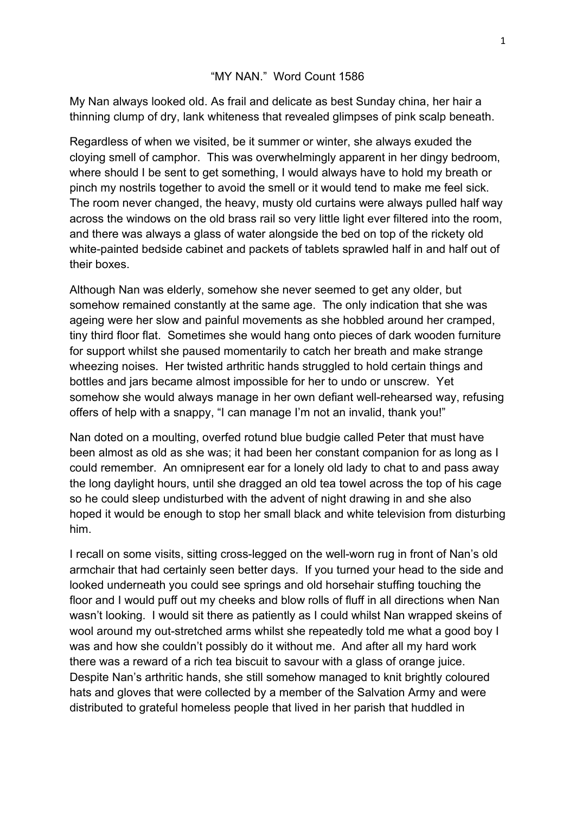## "MY NAN." Word Count 1586

My Nan always looked old. As frail and delicate as best Sunday china, her hair a thinning clump of dry, lank whiteness that revealed glimpses of pink scalp beneath.

Regardless of when we visited, be it summer or winter, she always exuded the cloying smell of camphor. This was overwhelmingly apparent in her dingy bedroom, where should I be sent to get something, I would always have to hold my breath or pinch my nostrils together to avoid the smell or it would tend to make me feel sick. The room never changed, the heavy, musty old curtains were always pulled half way across the windows on the old brass rail so very little light ever filtered into the room, and there was always a glass of water alongside the bed on top of the rickety old white-painted bedside cabinet and packets of tablets sprawled half in and half out of their boxes.

Although Nan was elderly, somehow she never seemed to get any older, but somehow remained constantly at the same age. The only indication that she was ageing were her slow and painful movements as she hobbled around her cramped, tiny third floor flat. Sometimes she would hang onto pieces of dark wooden furniture for support whilst she paused momentarily to catch her breath and make strange wheezing noises. Her twisted arthritic hands struggled to hold certain things and bottles and jars became almost impossible for her to undo or unscrew. Yet somehow she would always manage in her own defiant well-rehearsed way, refusing offers of help with a snappy, "I can manage I'm not an invalid, thank you!"

Nan doted on a moulting, overfed rotund blue budgie called Peter that must have been almost as old as she was; it had been her constant companion for as long as I could remember. An omnipresent ear for a lonely old lady to chat to and pass away the long daylight hours, until she dragged an old tea towel across the top of his cage so he could sleep undisturbed with the advent of night drawing in and she also hoped it would be enough to stop her small black and white television from disturbing him.

I recall on some visits, sitting cross-legged on the well-worn rug in front of Nan's old armchair that had certainly seen better days. If you turned your head to the side and looked underneath you could see springs and old horsehair stuffing touching the floor and I would puff out my cheeks and blow rolls of fluff in all directions when Nan wasn't looking. I would sit there as patiently as I could whilst Nan wrapped skeins of wool around my out-stretched arms whilst she repeatedly told me what a good boy I was and how she couldn't possibly do it without me. And after all my hard work there was a reward of a rich tea biscuit to savour with a glass of orange juice. Despite Nan's arthritic hands, she still somehow managed to knit brightly coloured hats and gloves that were collected by a member of the Salvation Army and were distributed to grateful homeless people that lived in her parish that huddled in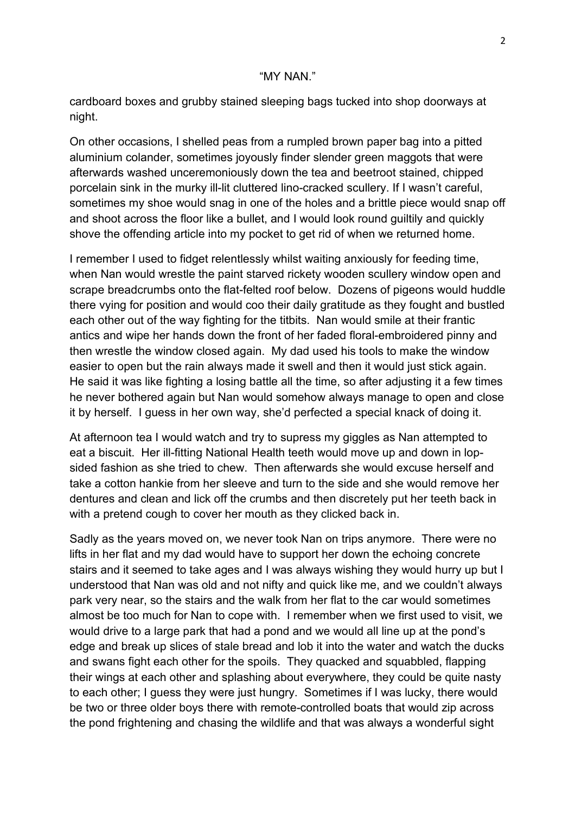## "MY NAN."

cardboard boxes and grubby stained sleeping bags tucked into shop doorways at night.

On other occasions, I shelled peas from a rumpled brown paper bag into a pitted aluminium colander, sometimes joyously finder slender green maggots that were afterwards washed unceremoniously down the tea and beetroot stained, chipped porcelain sink in the murky ill-lit cluttered lino-cracked scullery. If I wasn't careful, sometimes my shoe would snag in one of the holes and a brittle piece would snap off and shoot across the floor like a bullet, and I would look round guiltily and quickly shove the offending article into my pocket to get rid of when we returned home.

I remember I used to fidget relentlessly whilst waiting anxiously for feeding time, when Nan would wrestle the paint starved rickety wooden scullery window open and scrape breadcrumbs onto the flat-felted roof below. Dozens of pigeons would huddle there vying for position and would coo their daily gratitude as they fought and bustled each other out of the way fighting for the titbits. Nan would smile at their frantic antics and wipe her hands down the front of her faded floral-embroidered pinny and then wrestle the window closed again. My dad used his tools to make the window easier to open but the rain always made it swell and then it would just stick again. He said it was like fighting a losing battle all the time, so after adjusting it a few times he never bothered again but Nan would somehow always manage to open and close it by herself. I guess in her own way, she'd perfected a special knack of doing it.

At afternoon tea I would watch and try to supress my giggles as Nan attempted to eat a biscuit. Her ill-fitting National Health teeth would move up and down in lopsided fashion as she tried to chew. Then afterwards she would excuse herself and take a cotton hankie from her sleeve and turn to the side and she would remove her dentures and clean and lick off the crumbs and then discretely put her teeth back in with a pretend cough to cover her mouth as they clicked back in.

Sadly as the years moved on, we never took Nan on trips anymore. There were no lifts in her flat and my dad would have to support her down the echoing concrete stairs and it seemed to take ages and I was always wishing they would hurry up but I understood that Nan was old and not nifty and quick like me, and we couldn't always park very near, so the stairs and the walk from her flat to the car would sometimes almost be too much for Nan to cope with. I remember when we first used to visit, we would drive to a large park that had a pond and we would all line up at the pond's edge and break up slices of stale bread and lob it into the water and watch the ducks and swans fight each other for the spoils. They quacked and squabbled, flapping their wings at each other and splashing about everywhere, they could be quite nasty to each other; I guess they were just hungry. Sometimes if I was lucky, there would be two or three older boys there with remote-controlled boats that would zip across the pond frightening and chasing the wildlife and that was always a wonderful sight